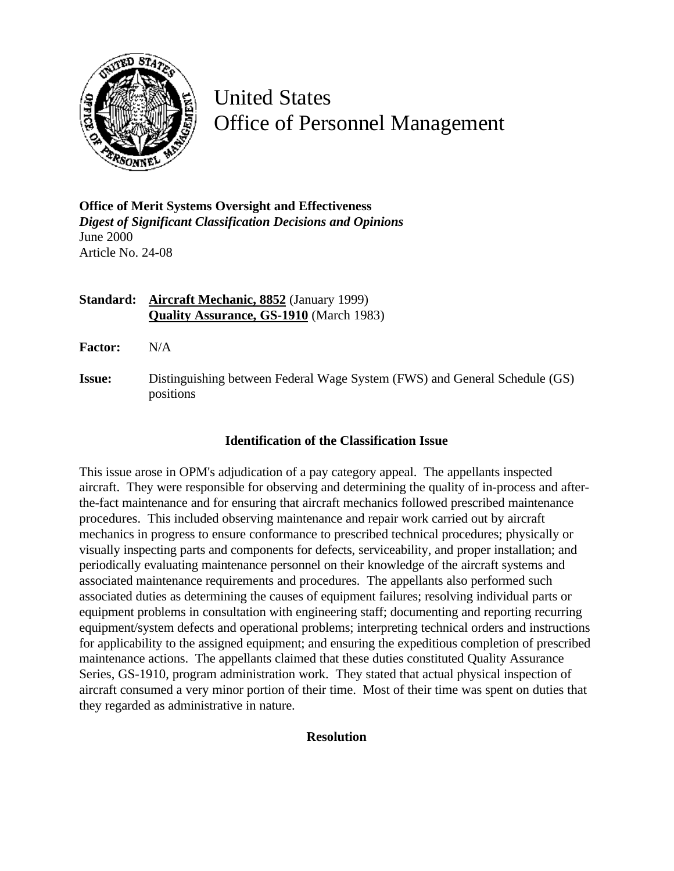

United States Office of Personnel Management

**Office of Merit Systems Oversight and Effectiveness** *Digest of Significant Classification Decisions and Opinions* June 2000 Article No. 24-08

**Standard: Aircraft Mechanic, 8852** (January 1999) **Quality Assurance, GS-1910** (March 1983)

- **Factor:** N/A
- **Issue:** Distinguishing between Federal Wage System (FWS) and General Schedule (GS) positions

## **Identification of the Classification Issue**

This issue arose in OPM's adjudication of a pay category appeal. The appellants inspected aircraft. They were responsible for observing and determining the quality of in-process and afterthe-fact maintenance and for ensuring that aircraft mechanics followed prescribed maintenance procedures. This included observing maintenance and repair work carried out by aircraft mechanics in progress to ensure conformance to prescribed technical procedures; physically or visually inspecting parts and components for defects, serviceability, and proper installation; and periodically evaluating maintenance personnel on their knowledge of the aircraft systems and associated maintenance requirements and procedures. The appellants also performed such associated duties as determining the causes of equipment failures; resolving individual parts or equipment problems in consultation with engineering staff; documenting and reporting recurring equipment/system defects and operational problems; interpreting technical orders and instructions for applicability to the assigned equipment; and ensuring the expeditious completion of prescribed maintenance actions. The appellants claimed that these duties constituted Quality Assurance Series, GS-1910, program administration work. They stated that actual physical inspection of aircraft consumed a very minor portion of their time. Most of their time was spent on duties that they regarded as administrative in nature.

## **Resolution**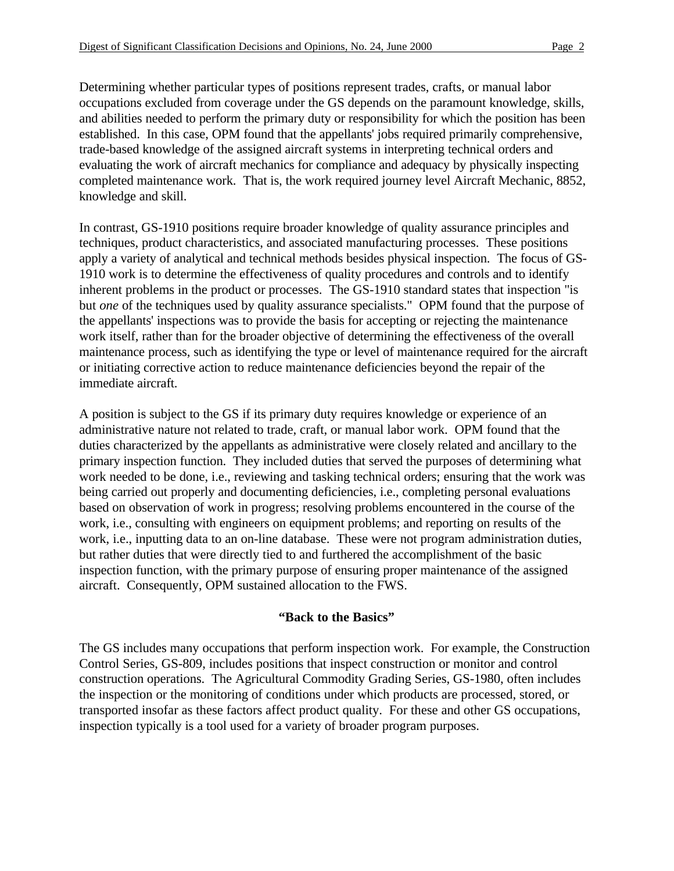Determining whether particular types of positions represent trades, crafts, or manual labor occupations excluded from coverage under the GS depends on the paramount knowledge, skills, and abilities needed to perform the primary duty or responsibility for which the position has been established. In this case, OPM found that the appellants' jobs required primarily comprehensive, trade-based knowledge of the assigned aircraft systems in interpreting technical orders and evaluating the work of aircraft mechanics for compliance and adequacy by physically inspecting completed maintenance work. That is, the work required journey level Aircraft Mechanic, 8852, knowledge and skill.

In contrast, GS-1910 positions require broader knowledge of quality assurance principles and techniques, product characteristics, and associated manufacturing processes. These positions apply a variety of analytical and technical methods besides physical inspection. The focus of GS-1910 work is to determine the effectiveness of quality procedures and controls and to identify inherent problems in the product or processes. The GS-1910 standard states that inspection "is but *one* of the techniques used by quality assurance specialists." OPM found that the purpose of the appellants' inspections was to provide the basis for accepting or rejecting the maintenance work itself, rather than for the broader objective of determining the effectiveness of the overall maintenance process, such as identifying the type or level of maintenance required for the aircraft or initiating corrective action to reduce maintenance deficiencies beyond the repair of the immediate aircraft.

A position is subject to the GS if its primary duty requires knowledge or experience of an administrative nature not related to trade, craft, or manual labor work. OPM found that the duties characterized by the appellants as administrative were closely related and ancillary to the primary inspection function. They included duties that served the purposes of determining what work needed to be done, i.e., reviewing and tasking technical orders; ensuring that the work was being carried out properly and documenting deficiencies, i.e., completing personal evaluations based on observation of work in progress; resolving problems encountered in the course of the work, i.e., consulting with engineers on equipment problems; and reporting on results of the work, i.e., inputting data to an on-line database. These were not program administration duties, but rather duties that were directly tied to and furthered the accomplishment of the basic inspection function, with the primary purpose of ensuring proper maintenance of the assigned aircraft. Consequently, OPM sustained allocation to the FWS.

## **"Back to the Basics"**

The GS includes many occupations that perform inspection work. For example, the Construction Control Series, GS-809, includes positions that inspect construction or monitor and control construction operations. The Agricultural Commodity Grading Series, GS-1980, often includes the inspection or the monitoring of conditions under which products are processed, stored, or transported insofar as these factors affect product quality. For these and other GS occupations, inspection typically is a tool used for a variety of broader program purposes.